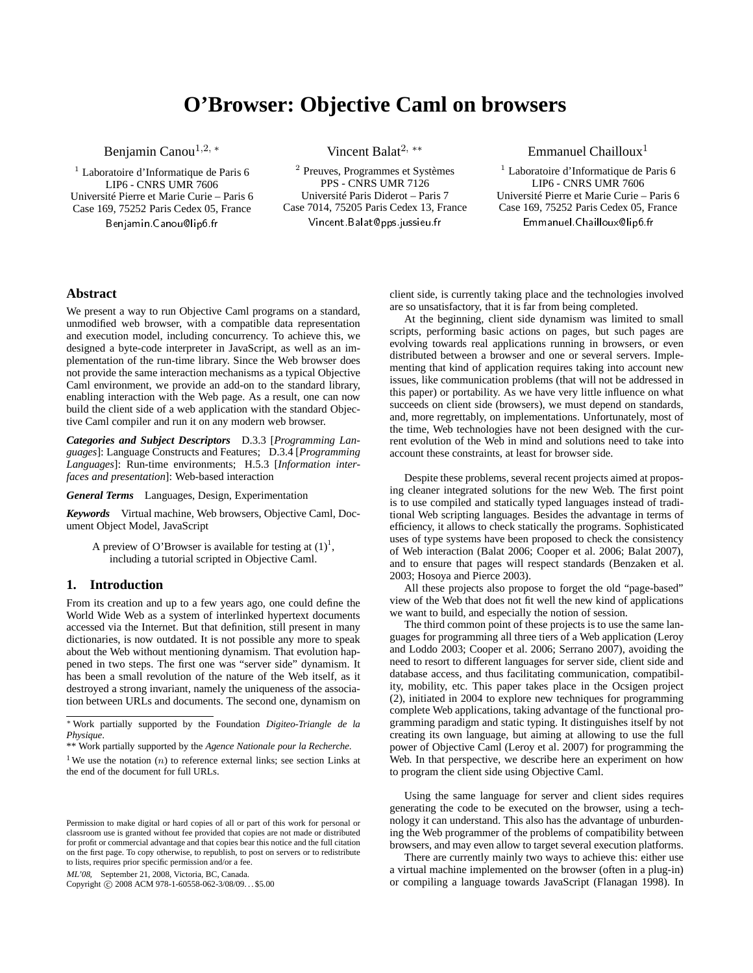# **O'Browser: Objective Caml on browsers**

Benjamin Canou<sup>1,2,</sup> \*

 $<sup>1</sup>$  Laboratoire d'Informatique de Paris 6</sup> LIP6 - CNRS UMR 7606 Université Pierre et Marie Curie – Paris 6 Case 169, 75252 Paris Cedex 05, France Benjamin.Canou@lip6.fr

Vincent Balat2, ∗∗

<sup>2</sup> Preuves, Programmes et Systèmes PPS - CNRS UMR 7126 Université Paris Diderot – Paris 7 Case 7014, 75205 Paris Cedex 13, France Vincent Balat@pps.jussieu.fr

Emmanuel Chailloux<sup>1</sup>

<sup>1</sup> Laboratoire d'Informatique de Paris 6 LIP6 - CNRS UMR 7606 Université Pierre et Marie Curie – Paris 6 Case 169, 75252 Paris Cedex 05, France Emmanuel Chailloux@lip6.fr

# **Abstract**

We present a way to run Objective Caml programs on a standard, unmodified web browser, with a compatible data representation and execution model, including concurrency. To achieve this, we designed a byte-code interpreter in JavaScript, as well as an implementation of the run-time library. Since the Web browser does not provide the same interaction mechanisms as a typical Objective Caml environment, we provide an add-on to the standard library, enabling interaction with the Web page. As a result, one can now build the client side of a web application with the standard Objective Caml compiler and run it on any modern web browser.

*Categories and Subject Descriptors* D.3.3 [*Programming Languages*]: Language Constructs and Features; D.3.4 [*Programming Languages*]: Run-time environments; H.5.3 [*Information interfaces and presentation*]: Web-based interaction

*General Terms* Languages, Design, Experimentation

*Keywords* Virtual machine, Web browsers, Objective Caml, Document Object Model, JavaScript

A preview of O'Browser is available for testing at  $(1)^1$  $(1)^1$  $(1)^1$ , including a tutorial scripted in Objective Caml.

# **1. Introduction**

From its creation and up to a few years ago, one could define the World Wide Web as a system of interlinked hypertext documents accessed via the Internet. But that definition, still present in many dictionaries, is now outdated. It is not possible any more to speak about the Web without mentioning dynamism. That evolution happened in two steps. The first one was "server side" dynamism. It has been a small revolution of the nature of the Web itself, as it destroyed a strong invariant, namely the uniqueness of the association between URLs and documents. The second one, dynamism on

ML'08, September 21, 2008, Victoria, BC, Canada.

Copyright © 2008 ACM 978-1-60558-062-3/08/09... \$5.00

client side, is currently taking place and the technologies involved are so unsatisfactory, that it is far from being completed.

At the beginning, client side dynamism was limited to small scripts, performing basic actions on pages, but such pages are evolving towards real applications running in browsers, or even distributed between a browser and one or several servers. Implementing that kind of application requires taking into account new issues, like communication problems (that will not be addressed in this paper) or portability. As we have very little influence on what succeeds on client side (browsers), we must depend on standards, and, more regrettably, on implementations. Unfortunately, most of the time, Web technologies have not been designed with the current evolution of the Web in mind and solutions need to take into account these constraints, at least for browser side.

Despite these problems, several recent projects aimed at proposing cleaner integrated solutions for the new Web. The first point is to use compiled and statically typed languages instead of traditional Web scripting languages. Besides the advantage in terms of efficiency, it allows to check statically the programs. Sophisticated uses of type systems have been proposed to check the consistency of Web interaction [\(Balat 2006;](#page-9-1) [Cooper et al. 2006](#page-9-2); [Balat 2007\)](#page-9-3), and to ensure that pages will respect standards [\(Benzaken et](#page-9-4) al. [2003;](#page-9-4) [Hosoya and Pierce 2003\)](#page-9-5).

All these projects also propose to forget the old "page-based" view of the Web that does not fit well the new kind of applications we want to build, and especially the notion of session.

The third common point of these projects is to use the same languages for [programming all three tiers of a Web application \(](#page-9-6)Leroy and Loddo [2003;](#page-9-6) [Cooper et al. 2006;](#page-9-2) [Serrano 2007](#page-9-7)), avoiding the need to resort to different languages for server side, client side and database access, and thus facilitating communication, compatibility, mobility, etc. This paper takes place in the Ocsigen project [\(2\)](#page-9-8), initiated in 2004 to explore new techniques for programming complete Web applications, taking advantage of the functional programming paradigm and static typing. It distinguishes itself by not creating its own language, but aiming at allowing to use the full power of Objective Caml [\(Leroy et al. 2007](#page-9-9)) for programming the Web. In that perspective, we describe here an experiment on how to program the client side using Objective Caml.

Using the same language for server and client sides requires generating the code to be executed on the browser, using a technology it can understand. This also has the advantage of unburdening the Web programmer of the problems of compatibility between browsers, and may even allow to target several execution platforms.

There are currently mainly two ways to achieve this: either use a virtual machine implemented on the browser (often in a plug-in) or compiling a language towards JavaScript [\(Flanagan 1998\)](#page-9-10). In

<sup>∗</sup> Work partially supported by the Foundation *Digiteo-Triangle de la Physique*.

<sup>\*\*</sup> Work partially supported by the *Agence Nationale pour la Recherche*.

<span id="page-0-0"></span><sup>&</sup>lt;sup>1</sup>We use the notation  $(n)$  to reference external links; see section Links at the end of the document for full URLs.

Permission to make digital or hard copies of all or part of this work for personal or classroom use is granted without fee provided that copies are not made or distributed for profit or commercial advantage and that copies bear this notice and the full citation on the first page. To copy otherwise, to republish, to post on servers or to redistribute to lists, requires prior specific permission and/or a fee.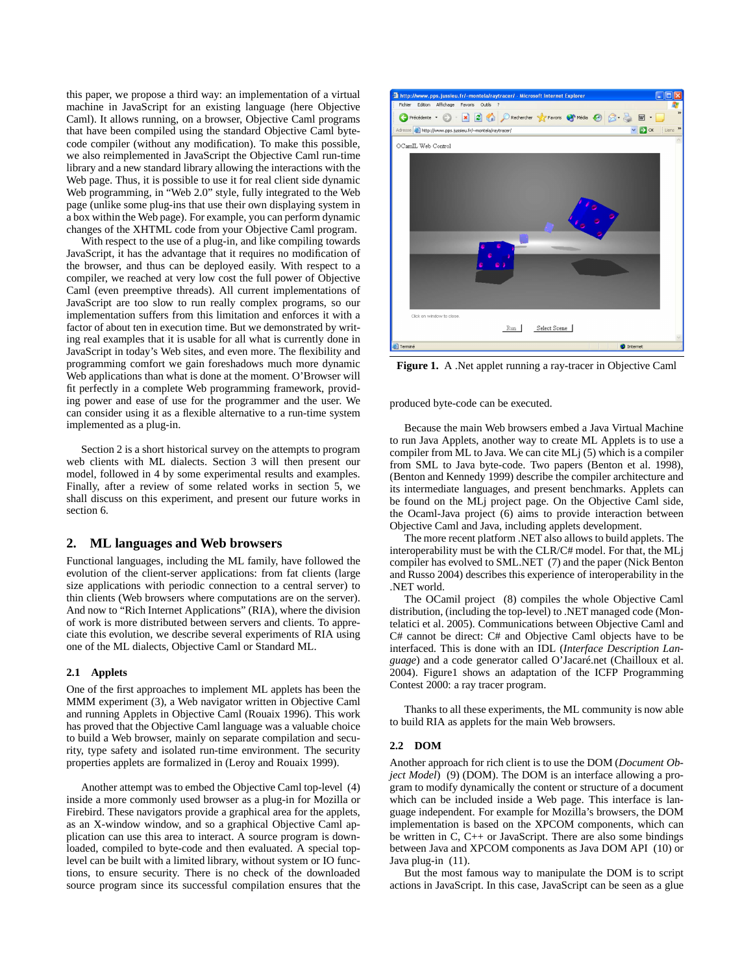this paper, we propose a third way: an implementation of a virtual machine in JavaScript for an existing language (here Objective Caml). It allows running, on a browser, Objective Caml programs that have been compiled using the standard Objective Caml bytecode compiler (without any modification). To make this possible, we also reimplemented in JavaScript the Objective Caml run-time library and a new standard library allowing the interactions with the Web page. Thus, it is possible to use it for real client side dynamic Web programming, in "Web 2.0" style, fully integrated to the Web page (unlike some plug-ins that use their own displaying system in a box within the Web page). For example, you can perform dynamic changes of the XHTML code from your Objective Caml program.

With respect to the use of a plug-in, and like compiling towards JavaScript, it has the advantage that it requires no modification of the browser, and thus can be deployed easily. With respect to a compiler, we reached at very low cost the full power of Objective Caml (even preemptive threads). All current implementations of JavaScript are too slow to run really complex programs, so our implementation suffers from this limitation and enforces it with a factor of about ten in execution time. But we demonstrated by writing real examples that it is usable for all what is currently done in JavaScript in today's Web sites, and even more. The flexibility and programming comfort we gain foreshadows much more dynamic Web applications than what is done at the moment. O'Browser will fit perfectly in a complete Web programming framework, providing power and ease of use for the programmer and the user. We can consider using it as a flexible alternative to a run-time system implemented as a plug-in.

Section [2](#page-1-0) is a short historical survey on the attempts to program web clients with ML dialects. Section [3](#page-2-0) will then present our model, followed in [4](#page-6-0) by some experimental results and examples. Finally, after a review of some related works in section [5,](#page-8-0) we shall discuss on this experiment, and present our future works in section [6.](#page-8-1)

## <span id="page-1-0"></span>**2. ML languages and Web browsers**

Functional languages, including the ML family, have followed the evolution of the client-server applications: from fat clients (large size applications with periodic connection to a central server) to thin clients (Web browsers where computations are on the server). And now to "Rich Internet Applications" (RIA), where the division of work is more distributed between servers and clients. To appreciate this evolution, we describe several experiments of RIA using one of the ML dialects, Objective Caml or Standard ML.

#### **2.1 Applets**

One of the first approaches to implement ML applets has been the MMM experiment [\(3\)](#page-9-11), a Web navigator written in Objective Caml and running Applets in Objective Caml [\(Rouaix 1996](#page-9-12)). This work has proved that the Objective Caml language was a valuable choice to build a Web browser, mainly on separate compilation and security, type safety and isolated run-time environment. The security properties applets are formalized in [\(Leroy and Rouaix 1999\)](#page-9-13).

Another attempt was to embed the Objective Caml top-level [\(4\)](#page-9-14) inside a more commonly used browser as a plug-in for Mozilla or Firebird. These navigators provide a graphical area for the applets, as an X-window window, and so a graphical Objective Caml application can use this area to interact. A source program is downloaded, compiled to byte-code and then evaluated. A special toplevel can be built with a limited library, without system or IO functions, to ensure security. There is no check of the downloaded source program since its successful compilation ensures that the



<span id="page-1-1"></span>**Figure 1.** A .Net applet running a ray-tracer in Objective Caml

produced byte-code can be executed.

Because the main Web browsers embed a Java Virtual Machine to run Java Applets, another way to create ML Applets is to use a compiler from ML to Java. We can cite MLj [\(5\)](#page-9-15) which is a compiler from SML to Java byte-code. Two papers [\(Benton et al. 1998\)](#page-9-16), [\(Benton and Kennedy 1999\)](#page-9-17) describe the compiler architecture and its intermediate languages, and present benchmarks. Applets can be found on the MLj project page. On the Objective Caml side, the Ocaml-Java project [\(6\)](#page-9-18) aims to provide interaction between Objective Caml and Java, including applets development.

The more recent platform .NET also allows to build applets. The interoperability must be with the CLR/C# model. For that, the MLj compiler [has evolved to SML.NET](#page-9-20) [\(7\)](#page-9-19) [and the paper \(](#page-9-20)Nick Benton and Russo [2004\)](#page-9-20) describes this experience of interoperability in the .NET world.

The OCamil project [\(8\)](#page-9-21) compiles the whole Objective Caml distribution, [\(including the top-level\) to .NET managed code \(](#page-9-22)Montelatici et al. [2005](#page-9-22)). Communications between Objective Caml and C# cannot be direct: C# and Objective Caml objects have to be interfaced. This is done with an IDL (*Interface Description Language*) and a code generator called O'Jacaré.net [\(Chailloux et al.](#page-9-23) [2004\)](#page-9-23). Figur[e1](#page-1-1) shows an adaptation of the ICFP Programming Contest 2000: a ray tracer program.

Thanks to all these experiments, the ML community is now able to build RIA as applets for the main Web browsers.

#### **2.2 DOM**

Another approach for rich client is to use the DOM (*Document Object Model*) [\(9\)](#page-9-24) (DOM). The DOM is an interface allowing a program to modify dynamically the content or structure of a document which can be included inside a Web page. This interface is language independent. For example for Mozilla's browsers, the DOM implementation is based on the XPCOM components, which can be written in C, C++ or JavaScript. There are also some bindings between Java and XPCOM components as Java DOM API [\(10\)](#page-9-25) or Java plug-in [\(11\)](#page-9-26).

But the most famous way to manipulate the DOM is to script actions in JavaScript. In this case, JavaScript can be seen as a glue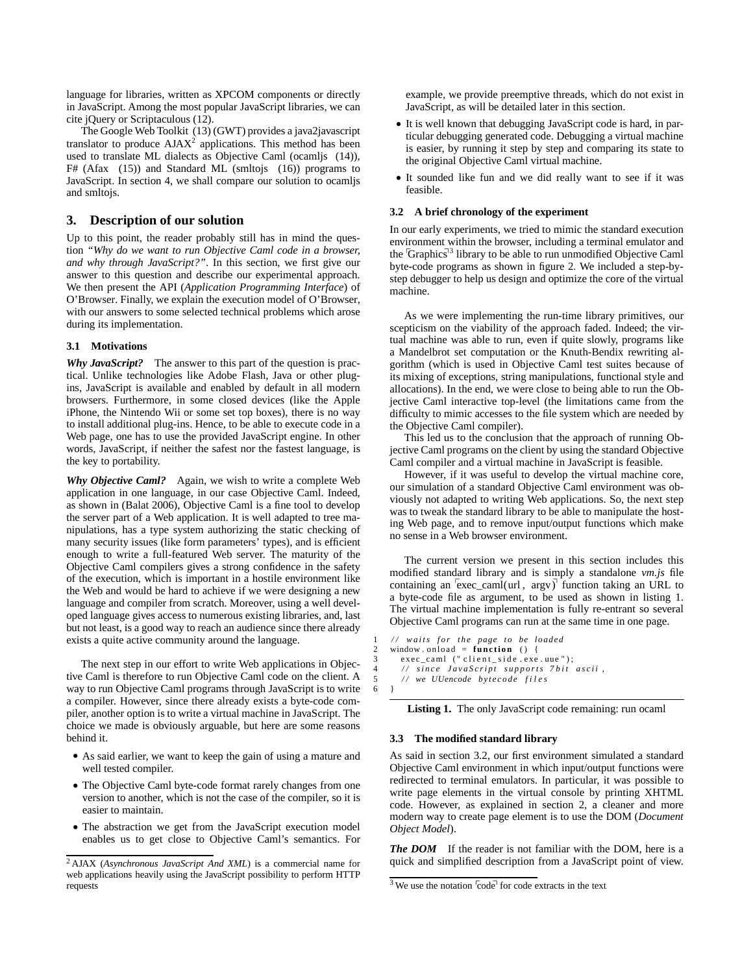language for libraries, written as XPCOM components or directly in JavaScript. Among the most popular JavaScript libraries, we can cite jQuery or Scriptaculous [\(12\)](#page-9-27).

The Google Web Toolkit [\(13\)](#page-9-28) (GWT) provides a java2javascript translator to produce  $A J A X^2$  $A J A X^2$  applications. This method has been used to translate ML dialects as Objective Caml (ocamljs [\(14\)](#page-9-29)),  $F#$  (Afax [\(15\)](#page-9-30)) and Standard ML (smltojs [\(16\)](#page-9-31)) programs to JavaScript. In section [4,](#page-6-0) we shall compare our solution to ocamljs and smltojs.

# <span id="page-2-0"></span>**3. Description of our solution**

Up to this point, the reader probably still has in mind the question *"Why do we want to run Objective Caml code in a browser, and why through JavaScript?"*. In this section, we first give our answer to this question and describe our experimental approach. We then present the API (*Application Programming Interface*) of O'Browser. Finally, we explain the execution model of O'Browser, with our answers to some selected technical problems which arose during its implementation.

## **3.1 Motivations**

*Why JavaScript?* The answer to this part of the question is practical. Unlike technologies like Adobe Flash, Java or other plugins, JavaScript is available and enabled by default in all modern browsers. Furthermore, in some closed devices (like the Apple iPhone, the Nintendo Wii or some set top boxes), there is no way to install additional plug-ins. Hence, to be able to execute code in a Web page, one has to use the provided JavaScript engine. In other words, JavaScript, if neither the safest nor the fastest language, is the key to portability.

*Why Objective Caml?* Again, we wish to write a complete Web application in one language, in our case Objective Caml. Indeed, as shown in [\(Balat 2006](#page-9-1)), Objective Caml is a fine tool to develop the server part of a Web application. It is well adapted to tree manipulations, has a type system authorizing the static checking of many security issues (like form parameters' types), and is efficient enough to write a full-featured Web server. The maturity of the Objective Caml compilers gives a strong confidence in the safety of the execution, which is important in a hostile environment like the Web and would be hard to achieve if we were designing a new language and compiler from scratch. Moreover, using a well developed language gives access to numerous existing libraries, and, last but not least, is a good way to reach an audience since there already exists a quite active community around the language.

The next step in our effort to write Web applications in Objective Caml is therefore to run Objective Caml code on the client. A way to run Objective Caml programs through JavaScript is to write a compiler. However, since there already exists a byte-code compiler, another option is to write a virtual machine in JavaScript. The choice we made is obviously arguable, but here are some reasons behind it.

- As said earlier, we want to keep the gain of using a mature and well tested compiler.
- The Objective Caml byte-code format rarely changes from one version to another, which is not the case of the compiler, so it is easier to maintain.
- The abstraction we get from the JavaScript execution model enables us to get close to Objective Caml's semantics. For

example, we provide preemptive threads, which do not exist in JavaScript, as will be detailed later in this section.

- It is well known that debugging JavaScript code is hard, in particular debugging generated code. Debugging a virtual machine is easier, by running it step by step and comparing its state to the original Objective Caml virtual machine.
- It sounded like fun and we did really want to see if it was feasible.

## <span id="page-2-4"></span>**3.2 A brief chronology of the experiment**

In our early experiments, we tried to mimic the standard execution environment within the browser, including a terminal emulator and the Graphics<sup>1[3](#page-2-2)</sup> library to be able to run unmodified Objective Caml byte-code programs as shown in figure [2.](#page-3-0) We included a step-bystep debugger to help us design and optimize the core of the virtual machine.

As we were implementing the run-time library primitives, our scepticism on the viability of the approach faded. Indeed; the virtual machine was able to run, even if quite slowly, programs like a Mandelbrot set computation or the Knuth-Bendix rewriting algorithm (which is used in Objective Caml test suites because of its mixing of exceptions, string manipulations, functional style and allocations). In the end, we were close to being able to run the Objective Caml interactive top-level (the limitations came from the difficulty to mimic accesses to the file system which are needed by the Objective Caml compiler).

This led us to the conclusion that the approach of running Objective Caml programs on the client by using the standard Objective Caml compiler and a virtual machine in JavaScript is feasible.

However, if it was useful to develop the virtual machine core, our simulation of a standard Objective Caml environment was obviously not adapted to writing Web applications. So, the next step was to tweak the standard library to be able to manipulate the hosting Web page, and to remove input/output functions which make no sense in a Web browser environment.

The current version we present in this section includes this modified standard library and is simply a standalone *vm.js* file containing an  $\overline{e}$ xec\_caml(url, argv)<sup> $\overline{f}$ </sup> function taking an URL to a byte-code file as argument, to be used as shown in listing [1.](#page-2-3) The virtual machine implementation is fully re-entrant so several Objective Caml programs can run at the same time in one page.

```
1 / / w a i t s f o r t h e page t o be loaded
   window. \text{onload} = function ()exec_caml (" client_side.exe.uue");
        since\; JavaScript\; supports\; 7 bit\; ascii,
5 // we UUencode bytecode files
6 }
```
**Listing 1.** The only JavaScript code remaining: run ocaml

## **3.3 The modified standard library**

As said in section [3.2,](#page-2-4) our first environment simulated a standard Objective Caml environment in which input/output functions were redirected to terminal emulators. In particular, it was possible to write page elements in the virtual console by printing XHTML code. However, as explained in section [2,](#page-1-0) a cleaner and more modern way to create page element is to use the DOM (*Document Object Model*).

*The DOM* If the reader is not familiar with the DOM, here is a quick and simplified description from a JavaScript point of view.

<span id="page-2-1"></span><sup>2</sup> AJAX (*Asynchronous JavaScript And XML*) is a commercial name for web applications heavily using the JavaScript possibility to perform HTTP requests

<span id="page-2-2"></span> $3$  We use the notation  $\overline{c}$  ode<sup> $\overline{c}$ </sup> for code extracts in the text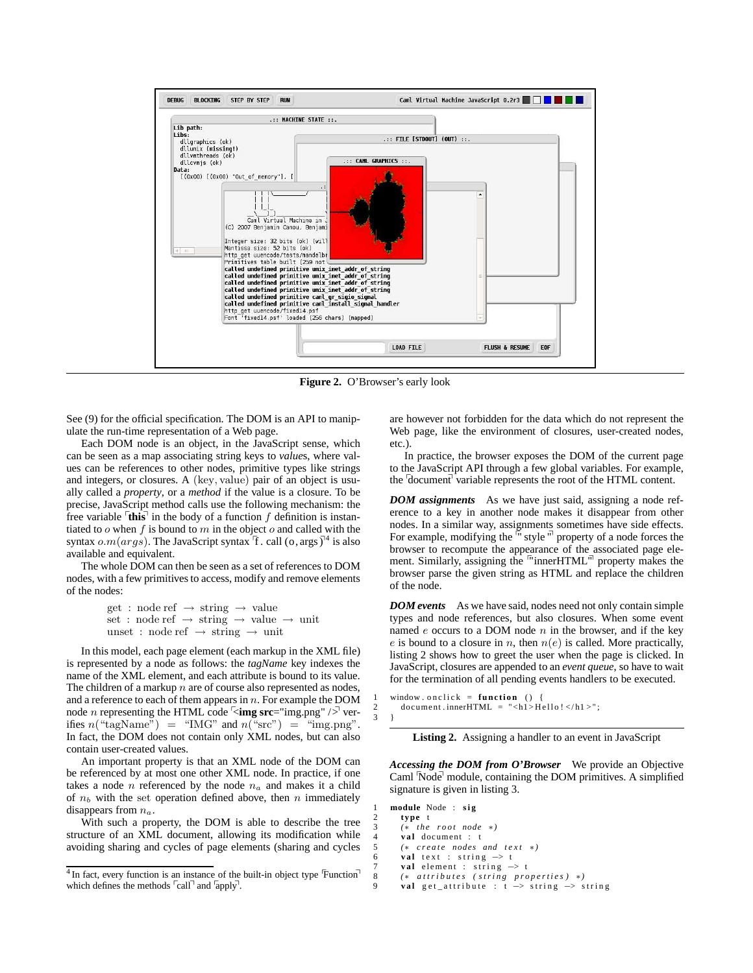

<span id="page-3-0"></span>**Figure 2.** O'Browser's early look

See [\(9\)](#page-9-24) for the official specification. The DOM is an API to manipulate the run-time representation of a Web page.

Each DOM node is an object, in the JavaScript sense, which can be seen as a map associating string keys to *value*s, where values can be references to other nodes, primitive types like strings and integers, or closures. A (key, value) pair of an object is usually called a *property*, or a *method* if the value is a closure. To be precise, JavaScript method calls use the following mechanism: the free variable  $\left[$ **this** $\right]$  in the body of a function f definition is instantiated to  $o$  when  $f$  is bound to  $m$  in the object  $o$  and called with the syntax  $o.m(args)$ . The JavaScript syntax  $\overline{f}$ . call (o, args )<sup>1[4](#page-3-1)</sup> is also available and equivalent.

The whole DOM can then be seen as a set of references to DOM nodes, with a few primitives to access, modify and remove elements of the nodes:

> get : node ref  $\rightarrow$  string  $\rightarrow$  value set : node ref  $\rightarrow$  string  $\rightarrow$  value  $\rightarrow$  unit unset : node ref  $\rightarrow$  string  $\rightarrow$  unit

In this model, each page element (each markup in the XML file) is represented by a node as follows: the *tagName* key indexes the name of the XML element, and each attribute is bound to its value. The children of a markup  $n$  are of course also represented as nodes, and a reference to each of them appears in  $n$ . For example the DOM node *n* representing the HTML code  $\overline{\text{m}}$  src="img.png" / $\overline{\text{m}}$  verifies  $n("tagName") = "IMG" and  $n("src") = "img.png".$$ In fact, the DOM does not contain only XML nodes, but can also contain user-created values.

An important property is that an XML node of the DOM can be referenced by at most one other XML node. In practice, if one takes a node  $n$  referenced by the node  $n_a$  and makes it a child of  $n_b$  with the set operation defined above, then n immediately disappears from  $n_a$ .

With such a property, the DOM is able to describe the tree structure of an XML document, allowing its modification while avoiding sharing and cycles of page elements (sharing and cycles are however not forbidden for the data which do not represent the Web page, like the environment of closures, user-created nodes, etc.).

In practice, the browser exposes the DOM of the current page to the JavaScript API through a few global variables. For example, the  $\sqrt{\frac{1}{2}}$  variable represents the root of the HTML content.

*DOM assignments* As we have just said, assigning a node reference to a key in another node makes it disappear from other nodes. In a similar way, assignments sometimes have side effects.<br>For example, modifying the <sup>m</sup> style <sup>m</sup> property of a node forces the browser to recompute the appearance of the associated page element. Similarly, assigning the  $\frac{m}{n}$  inner HTML $\frac{m}{n}$  property makes the browser parse the given string as HTML and replace the children of the node.

*DOM events* As we have said, nodes need not only contain simple types and node references, but also closures. When some event named  $e$  occurs to a DOM node  $n$  in the browser, and if the key e is bound to a closure in n, then  $n(e)$  is called. More practically, listing [2](#page-3-2) shows how to greet the user when the page is clicked. In JavaScript, closures are appended to an *event queue*, so have to wait for the termination of all pending events handlers to be executed.

<span id="page-3-2"></span>1 window on click = **function** () {<br>2 document.innerHTML =  $"$  <h1>H 2 document.innerHTML = "<h1>Hello! </h1 >"; 3 }

**Listing 2.** Assigning a handler to an event in JavaScript

*Accessing the DOM from O'Browser* We provide an Objective Caml Node<sup>1</sup> module, containing the DOM primitives. A simplified signature is given in listing [3.](#page-3-3)

```
1 module Node : s i g
       2 type t
       (* the root node *)
       val document : t
       5 (∗ c r e a t e nodes and t e x t ∗)
6 val text : string \rightarrow t
7 val element : string → t<br>8 (* attributes (string pro
       8 (∗ a t t r i b u t e s ( s t r i n g p r o p e r t i e s ) ∗)
       val get_attribute : t -> string -> string
```
<span id="page-3-1"></span> $4$  In fact, every function is an instance of the built-in object type  $\overline{F}$ unction<sup>1</sup> which defines the methods  $\lceil \text{call} \rceil$  and  $\lceil \text{apply} \rceil$ .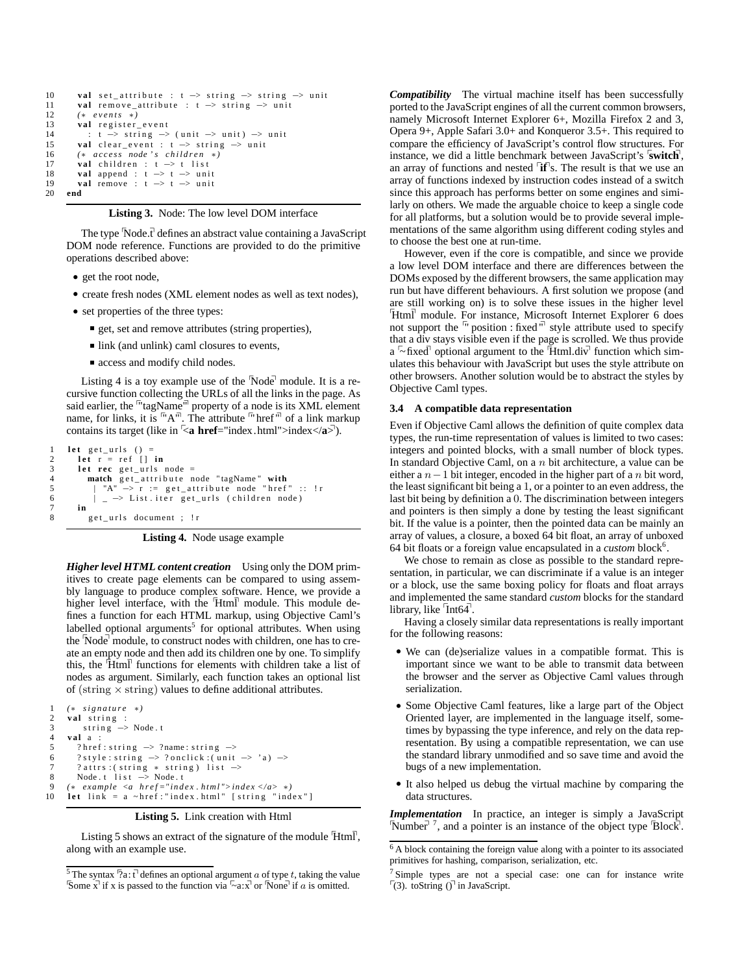```
10 val set_attribute : t \rightarrow string \rightarrow string \rightarrow unit
11 val remove attribute : t \rightarrow string \rightarrow unit
12 (∗ e v e n t s ∗)
13 val register_event
14 : t \rightarrow string \rightarrow (unit \rightarrow unit) \rightarrow unit
15 val clear_event : t → string → unit
16 (∗ a c c e s s node ' s c h i l d r e n ∗)
17 val children : t \rightarrow t list<br>18 val append : t \rightarrow t \rightarrow \text{uni}val append : t -> t -> unit
19 val remove : t → t → unit<br>20 end
     20 end
```


The type  $\overline{\text{Node}.t}$  defines an abstract value containing a JavaScript DOM node reference. Functions are provided to do the primitive operations described above:

- get the root node,
- create fresh nodes (XML element nodes as well as text nodes),
- set properties of the three types:
	- get, set and remove attributes (string properties),
	- link (and unlink) caml closures to events,
	- access and modify child nodes.

Listing [4](#page-4-0) is a toy example use of the  $\sqrt{N}$ ode $\sqrt{N}$  module. It is a recursive function collecting the URLs of all the links in the page. As said earlier, the  $\frac{m}{n}$  tagName<sup> $\frac{m}{n}$ </sup> property of a node is its XML element name, for links, it is  $\mathbb{R}^m$ . The attribute  $\mathbb{R}^m$  of a link markup contains its target (like in  $\leq$ **a href**="index.html">index $\lt$ /**a** $\geq$ ).

```
1 let get_urls () =<br>2 let r = ref [] in
3 let rec get_urls node =<br>4 match get attribute n
4 match get_attribute node "tagName" with
5 | "A" -> r := get_attribute node "href" :: !r
6 \vert \vert \vert \rightarrow List . iter get urls (children node)
7 in
         get_urls document ; !r
```
**Listing 4.** Node usage example

*Higher level HTML content creation* Using only the DOM primitives to create page elements can be compared to using assembly language to produce complex software. Hence, we provide a higher level interface, with the  $[Htm]$  module. This module defines a function for each HTML markup, using Objective Caml's labelled optional arguments<sup>[5](#page-4-1)</sup> for optional attributes. When using the Node<sup>†</sup> module, to construct nodes with children, one has to create an empty node and then add its children one by one. To simplify this, the  $\text{Htm}$  functions for elements with children take a list of nodes as argument. Similarly, each function takes an optional list of (string  $\times$  string) values to define additional attributes.

```
1 (∗ s i g n a t u r e ∗)
 \begin{array}{cc} 2 & \textbf{val} & \textbf{string} \\ 3 & \textbf{string} \end{array}string \rightarrow Node.t4 v a l a :
 5 ? href: string \rightarrow ? name: string \rightarrow6 ? style : string \rightarrow ? onclick : (unit \rightarrow 'a) \rightarrow? \mathsf{attrs:} \left( \text{ string } * \text{ string } \right) \text{ list } \Rightarrow8 Node. t 1 i s t \Rightarrow Node. t
9 (* example <a href = "index .html" > index </a> *)<br>10 let link = a ~href : "index .html" [string "index
       10 l e t l i n k = a ~ h r e f : " i n d e x . html " [ s t r i n g " i n d e x " ]
```
#### **Listing 5.** Link creation with Html

Listing [5](#page-4-2) shows an extract of the signature of the module  $\overline{Html}$ , along with an example use.

*Compatibility* The virtual machine itself has been successfully ported to the JavaScript engines of all the current common browsers, namely Microsoft Internet Explorer 6+, Mozilla Firefox 2 and 3, Opera 9+, Apple Safari 3.0+ and Konqueror 3.5+. This required to compare the efficiency of JavaScript's control flow structures. For instance, we did a little benchmark between JavaScript's <sup>*s*</sup> switch<sup>†</sup>, an array of functions and nested  $\left[\mathbf{if}\right]$ s. The result is that we use an array of functions indexed by instruction codes instead of a switch since this approach has performs better on some engines and similarly on others. We made the arguable choice to keep a single code for all platforms, but a solution would be to provide several implementations of the same algorithm using different coding styles and to choose the best one at run-time.

However, even if the core is compatible, and since we provide a low level DOM interface and there are differences between the DOMs exposed by the different browsers, the same application may run but have different behaviours. A first solution we propose (and are still working on) is to solve these issues in the higher level <sup>[</sup>Html<sup>]</sup> module. For instance, Microsoft Internet Explorer 6 does not support the  $\sqrt{n}$  position : fixed  $\sqrt{n}$  style attribute used to specify that a div stays visible even if the page is scrolled. We thus provide a  $\sim$  fixed<sup>†</sup> optional argument to the  $\overline{H}$ tml.div $\overline{V}$  function which simulates this behaviour with JavaScript but uses the style attribute on other browsers. Another solution would be to abstract the styles by Objective Caml types.

#### **3.4 A compatible data representation**

Even if Objective Caml allows the definition of quite complex data types, the run-time representation of values is limited to two cases: integers and pointed blocks, with a small number of block types. In standard Objective Caml, on a  $n$  bit architecture, a value can be either a  $n-1$  bit integer, encoded in the higher part of a n bit word, the least significant bit being a 1, or a pointer to an even address, the last bit being by definition a 0. The discrimination between integers and pointers is then simply a done by testing the least significant bit. If the value is a pointer, then the pointed data can be mainly an array of values, a closure, a boxed 64 bit float, an array of unboxed [6](#page-4-3)4 bit floats or a foreign value encapsulated in a *custom* block<sup>6</sup>.

We chose to remain as close as possible to the standard representation, in particular, we can discriminate if a value is an integer or a block, use the same boxing policy for floats and float arrays and implemented the same standard *custom* blocks for the standard library, like  $Int64$ <sup>n</sup>.

Having a closely similar data representations is really important for the following reasons:

- We can (de)serialize values in a compatible format. This is important since we want to be able to transmit data between the browser and the server as Objective Caml values through serialization.
- Some Objective Caml features, like a large part of the Object Oriented layer, are implemented in the language itself, sometimes by bypassing the type inference, and rely on the data representation. By using a compatible representation, we can use the standard library unmodified and so save time and avoid the bugs of a new implementation.
- It also helped us debug the virtual machine by comparing the data structures.

*Implementation* In practice, an integer is simply a JavaScript Number<sup> $7$ </sup>, and a pointer is an instance of the object type  $\overline{B}$ lock.

<span id="page-4-1"></span><sup>&</sup>lt;sup>5</sup> The syntax  $\sqrt{2}a$ : t<sup>†</sup> defines an optional argument a of type t, taking the value Some  $\bar{x}$  if x is passed to the function via  $\bar{x}$  or  $\bar{x}$  or  $\bar{y}$  if a is omitted.

<span id="page-4-3"></span><sup>6</sup> A block containing the foreign value along with a pointer to its associated primitives for hashing, comparison, serialization, etc.

<span id="page-4-4"></span><sup>&</sup>lt;sup>7</sup> Simple types are not a special case: one can for instance write  $\lceil$ (3). toString () $\lceil$  in JavaScript.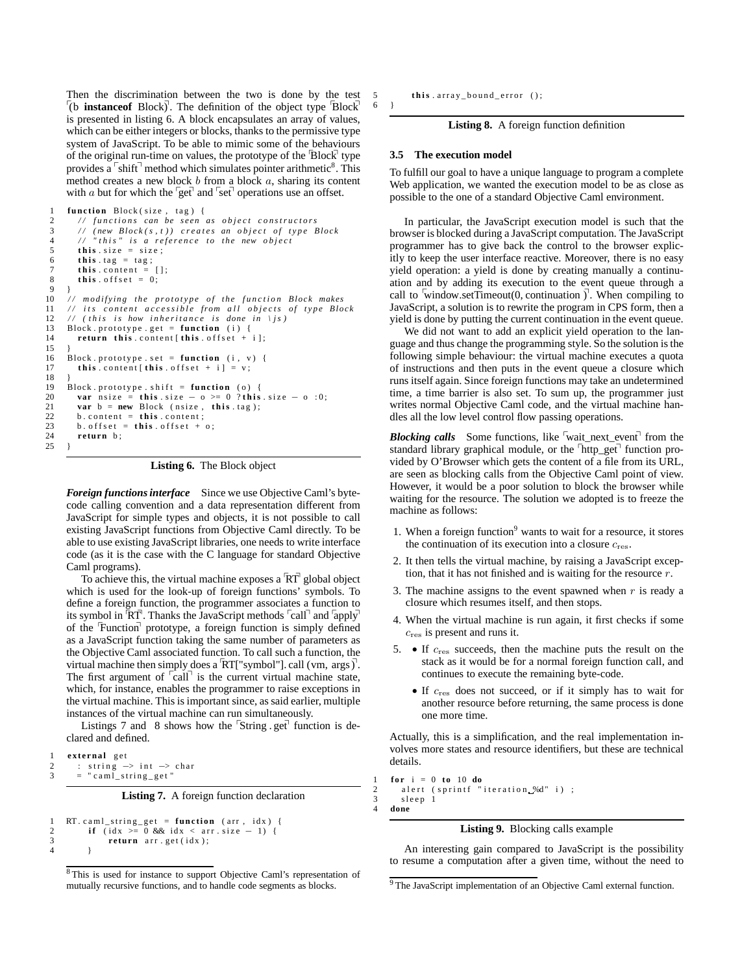Then the discrimination between the two is done by the test  $\left[$ (b **instanceof** Block)<sup> $\right]$ </sup>. The definition of the object type  $\left[$ Block<sup> $\right]$ </sup> is presented in listing [6.](#page-5-0) A block encapsulates an array of values, which can be either integers or blocks, thanks to the permissive type system of JavaScript. To be able to mimic some of the behaviours of the original run-time on values, the prototype of the  $\overline{Block}$  type provides a  $\sqrt{\sinh^{-1}}$  method which simulates pointer arithmetic<sup>[8](#page-5-1)</sup>. This method creates a new block  $b$  from a block  $a$ , sharing its content with a but for which the  $\left[\text{get}\right]$  and  $\left[\text{set}\right]$  operations use an offset.

```
1 function Block(size, tag) {<br>2 // functions can be seen
 2 // functions can be seen as object constructors<br>3 // (new Block(s.t)) creates an object of type b
 3 / / ( new B lock ( s , t ) ) c r e a t e s an o b j e c t o f t y p e B lock
              " this" is a reference to the new object
 5 this \text{size} = \text{size};<br>6 this \text{tag} = \text{tag};
 6 this tag = tag;<br>7 this content =
         this . content = []
 8 this offset = 0;<br>9 }
      9 }
10 // modifying the prototype of the function Block makes<br>11 // its content accessible from all objects of type Block
\frac{12}{12} // (this is how inheritance is done in \js)
13 Block . prototype . get = function (i) {
14 return this . content [this . offset + i];
16 Block . prototype . set = function (i, v) {
17 this . content [ this . offset + i ] = v;
19 Block . prototype . shift = function (o) {
20 var n size = this . size - o >= 0 ? this . size - o :0;<br>21 var b = new Block (n size, this . tag);<br>22 b . content = this . content:
         var b = new Block (n size, this. tag);22 b. content = this . content;<br>23 b offset = this offset +
23 b. offset = this . offset + o;<br>24 return b:
         return b:
```
**Listing 6.** The Block object

*Foreign functions interface* Since we use Objective Caml's bytecode calling convention and a data representation different from JavaScript for simple types and objects, it is not possible to call existing JavaScript functions from Objective Caml directly. To be able to use existing JavaScript libraries, one needs to write interface code (as it is the case with the C language for standard Objective Caml programs).

To achieve this, the virtual machine exposes a  $\overline{RT}$  global object which is used for the look-up of foreign functions' symbols. To define a foreign function, the programmer associates a function to its symbol in  $\overline{RT}$ . Thanks the JavaScript methods  $\overline{cal}$  and  $\overline{apply}$ of the Function prototype, a foreign function is simply defined as a JavaScript function taking the same number of parameters as the Objective Caml associated function. To call such a function, the virtual machine then simply does a  $\overline{RT}$ ["symbol"]. call (vm, args  $\overline{Q}$ ]. The first argument of  $\lceil \text{call} \rceil$  is the current virtual machine state, which, for instance, enables the programmer to raise exceptions in the virtual machine. This is important since, as said earlier, multiple instances of the virtual machine can run simultaneously.

Listings [7](#page-5-2) and [8](#page-5-3) shows how the  $\overline{\text{String}}$  get function is declared and defined.

```
external get
2 : string \rightarrow int \rightarrow char<br>3 = "caml string get"
           = " c a m \bar{1} _ s t r i n g _ g e t "
```
**Listing 7.** A foreign function declaration

```
1 RT. caml_string_get = function (arr, idx) {<br>2 if (idx >= 0 & & idx \lt arr, size - 1) {
                if (\text{idx} > = 0 \&\& \text{idx} < \text{arr} \cdot \text{size} = 1) {
\begin{array}{ccc} 3 & \text{return } \arr \text{. get } (\text{idx}); \\ 4 & \text{ } \end{array}4 }
```
5 **this** . array\_bound\_error ();

**Listing 8.** A foreign function definition

#### **3.5 The execution model**

To fulfill our goal to have a unique language to program a complete Web application, we wanted the execution model to be as close as possible to the one of a standard Objective Caml environment.

In particular, the JavaScript execution model is such that the browser is blocked during a JavaScript computation. The JavaScript programmer has to give back the control to the browser explicitly to keep the user interface reactive. Moreover, there is no easy yield operation: a yield is done by creating manually a continuation and by adding its execution to the event queue through a call to window.setTimeout(0, continuation  $\nabla$ . When compiling to JavaScript, a solution is to rewrite the program in CPS form, then a yield is done by putting the current continuation in the event queue.

We did not want to add an explicit yield operation to the language and thus change the programming style. So the solution is the following simple behaviour: the virtual machine executes a quota of instructions and then puts in the event queue a closure which runs itself again. Since foreign functions may take an undetermined time, a time barrier is also set. To sum up, the programmer just writes normal Objective Caml code, and the virtual machine handles all the low level control flow passing operations.

*Blocking calls* Some functions, like wait\_next\_event<sup>1</sup> from the standard library graphical module, or the 'http\_get' function provided by O'Browser which gets the content of a file from its URL, are seen as blocking calls from the Objective Caml point of view. However, it would be a poor solution to block the browser while waiting for the resource. The solution we adopted is to freeze the machine as follows:

- 1. When a foreign function<sup>[9](#page-5-4)</sup> wants to wait for a resource, it stores the continuation of its execution into a closure  $c_{res}$ .
- 2. It then tells the virtual machine, by raising a JavaScript exception, that it has not finished and is waiting for the resource  $r$ .
- 3. The machine assigns to the event spawned when  $r$  is ready a closure which resumes itself, and then stops.
- 4. When the virtual machine is run again, it first checks if some  $c_{\text{res}}$  is present and runs it.
- 5. If  $c_{\text{res}}$  succeeds, then the machine puts the result on the stack as it would be for a normal foreign function call, and continues to execute the remaining byte-code.
	- If  $c_{\text{res}}$  does not succeed, or if it simply has to wait for another resource before returning, the same process is done one more time.

Actually, this is a simplification, and the real implementation involves more states and resource identifiers, but these are technical details.

<span id="page-5-5"></span> $1$  **for**  $i = 0$  **to** 10 **do** 2 a lert (sprintf "iteration %d" i);<br>3 sleep 1 sleep 1 4 **done**

## **Listing 9.** Blocking calls example

An interesting gain compared to JavaScript is the possibility to resume a computation after a given time, without the need to

25 }

6 }

<span id="page-5-1"></span><sup>8</sup> This is used for instance to support Objective Caml's representation of mutually recursive functions, and to handle code segments as blocks.

<span id="page-5-4"></span><sup>&</sup>lt;sup>9</sup> The JavaScript implementation of an Objective Caml external function.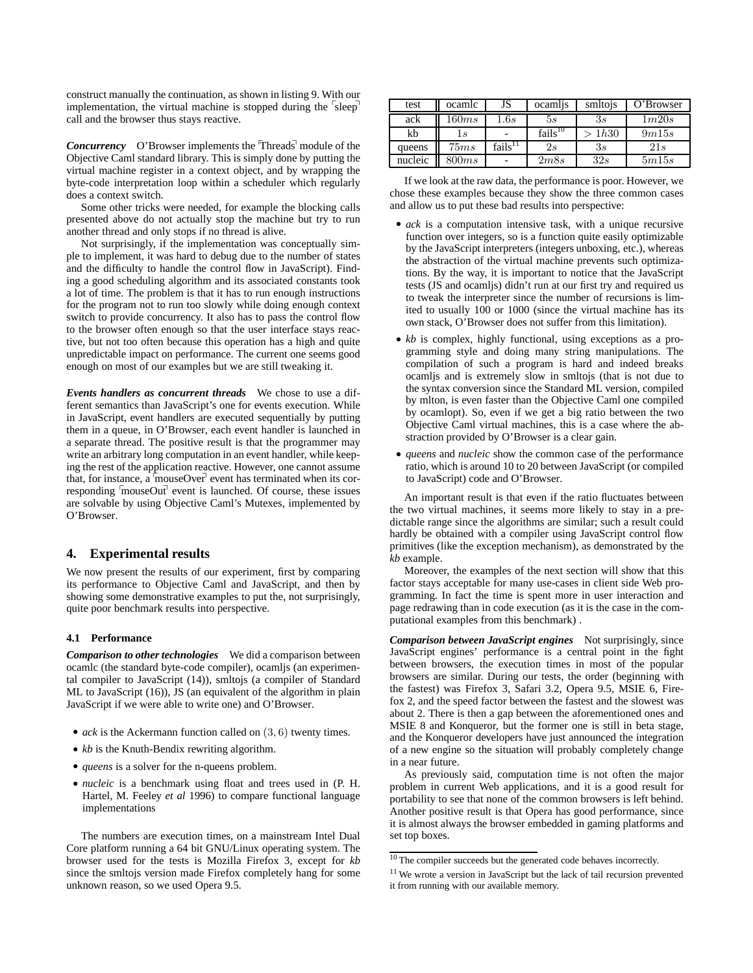construct manually the continuation, as shown in listing [9.](#page-5-5) With our implementation, the virtual machine is stopped during the  $\sqrt{s}$ leep $\sqrt{ }$ call and the browser thus stays reactive.

*Concurrency* O'Browser implements the  $\text{Threads}$  module of the Objective Caml standard library. This is simply done by putting the virtual machine register in a context object, and by wrapping the byte-code interpretation loop within a scheduler which regularly does a context switch.

Some other tricks were needed, for example the blocking calls presented above do not actually stop the machine but try to run another thread and only stops if no thread is alive.

Not surprisingly, if the implementation was conceptually simple to implement, it was hard to debug due to the number of states and the difficulty to handle the control flow in JavaScript). Finding a good scheduling algorithm and its associated constants took a lot of time. The problem is that it has to run enough instructions for the program not to run too slowly while doing enough context switch to provide concurrency. It also has to pass the control flow to the browser often enough so that the user interface stays reactive, but not too often because this operation has a high and quite unpredictable impact on performance. The current one seems good enough on most of our examples but we are still tweaking it.

*Events handlers as concurrent threads* We chose to use a different semantics than JavaScript's one for events execution. While in JavaScript, event handlers are executed sequentially by putting them in a queue, in O'Browser, each event handler is launched in a separate thread. The positive result is that the programmer may write an arbitrary long computation in an event handler, while keeping the rest of the application reactive. However, one cannot assume that, for instance, a  $\overline{m}$  mouseOver $\overline{r}$  event has terminated when its corresponding  $\sqrt{\ }$  mouseOut $\sqrt{\ }$  event is launched. Of course, these issues are solvable by using Objective Caml's Mutexes, implemented by O'Browser.

# <span id="page-6-0"></span>**4. Experimental results**

We now present the results of our experiment, first by comparing its performance to Objective Caml and JavaScript, and then by showing some demonstrative examples to put the, not surprisingly, quite poor benchmark results into perspective.

## **4.1 Performance**

*Comparison to other technologies* We did a comparison between ocamlc (the standard byte-code compiler), ocamljs (an experimental compiler to JavaScript [\(14\)](#page-9-29)), smltojs (a compiler of Standard ML to JavaScript [\(16\)](#page-9-31)), JS (an equivalent of the algorithm in plain JavaScript if we were able to write one) and O'Browser.

- *ack* is the Ackermann function called on (3, 6) twenty times.
- *kb* is the Knuth-Bendix rewriting algorithm.
- *queens* is a solver for the n-queens problem.
- *nucleic* is a benchmar[k using float and trees used in \(](#page-9-32)P. H. Hartel, M. Feeley *et al* [1996\)](#page-9-32) to compare functional language implementations

The numbers are execution times, on a mainstream Intel Dual Core platform running a 64 bit GNU/Linux operating system. The browser used for the tests is Mozilla Firefox 3, except for *kb* since the smltojs version made Firefox completely hang for some unknown reason, so we used Opera 9.5.

| test    | ocamlc | JS                  | ocamlis      | smitojs | O'Browser |
|---------|--------|---------------------|--------------|---------|-----------|
| ack     | 160ms  | 1.6s                | 5s           | 3s      | 1m20s     |
| kb      | 1 s    |                     | $fails^{10}$ | 1h30    | 9m15s     |
| queens  | 75ms   | fails <sup>11</sup> | $_{2s}$      | 3s      | 21s       |
| nucleic | 300ms  |                     | 2m8s         | 32s     | 5m15s     |

If we look at the raw data, the performance is poor. However, we chose these examples because they show the three common cases and allow us to put these bad results into perspective:

- *ack* is a computation intensive task, with a unique recursive function over integers, so is a function quite easily optimizable by the JavaScript interpreters (integers unboxing, etc.), whereas the abstraction of the virtual machine prevents such optimizations. By the way, it is important to notice that the JavaScript tests (JS and ocamljs) didn't run at our first try and required us to tweak the interpreter since the number of recursions is limited to usually 100 or 1000 (since the virtual machine has its own stack, O'Browser does not suffer from this limitation).
- *kb* is complex, highly functional, using exceptions as a programming style and doing many string manipulations. The compilation of such a program is hard and indeed breaks ocamljs and is extremely slow in smltojs (that is not due to the syntax conversion since the Standard ML version, compiled by mlton, is even faster than the Objective Caml one compiled by ocamlopt). So, even if we get a big ratio between the two Objective Caml virtual machines, this is a case where the abstraction provided by O'Browser is a clear gain.
- *queens* and *nucleic* show the common case of the performance ratio, which is around 10 to 20 between JavaScript (or compiled to JavaScript) code and O'Browser.

An important result is that even if the ratio fluctuates between the two virtual machines, it seems more likely to stay in a predictable range since the algorithms are similar; such a result could hardly be obtained with a compiler using JavaScript control flow primitives (like the exception mechanism), as demonstrated by the *kb* example.

Moreover, the examples of the next section will show that this factor stays acceptable for many use-cases in client side Web programming. In fact the time is spent more in user interaction and page redrawing than in code execution (as it is the case in the computational examples from this benchmark) .

*Comparison between JavaScript engines* Not surprisingly, since JavaScript engines' performance is a central point in the fight between browsers, the execution times in most of the popular browsers are similar. During our tests, the order (beginning with the fastest) was Firefox 3, Safari 3.2, Opera 9.5, MSIE 6, Firefox 2, and the speed factor between the fastest and the slowest was about 2. There is then a gap between the aforementioned ones and MSIE 8 and Konqueror, but the former one is still in beta stage, and the Konqueror developers have just announced the integration of a new engine so the situation will probably completely change in a near future.

As previously said, computation time is not often the major problem in current Web applications, and it is a good result for portability to see that none of the common browsers is left behind. Another positive result is that Opera has good performance, since it is almost always the browser embedded in gaming platforms and set top boxes.

<sup>&</sup>lt;sup>10</sup> The compiler succeeds but the generated code behaves incorrectly.

<sup>&</sup>lt;sup>11</sup> We wrote a version in JavaScript but the lack of tail recursion prevented it from running with our available memory.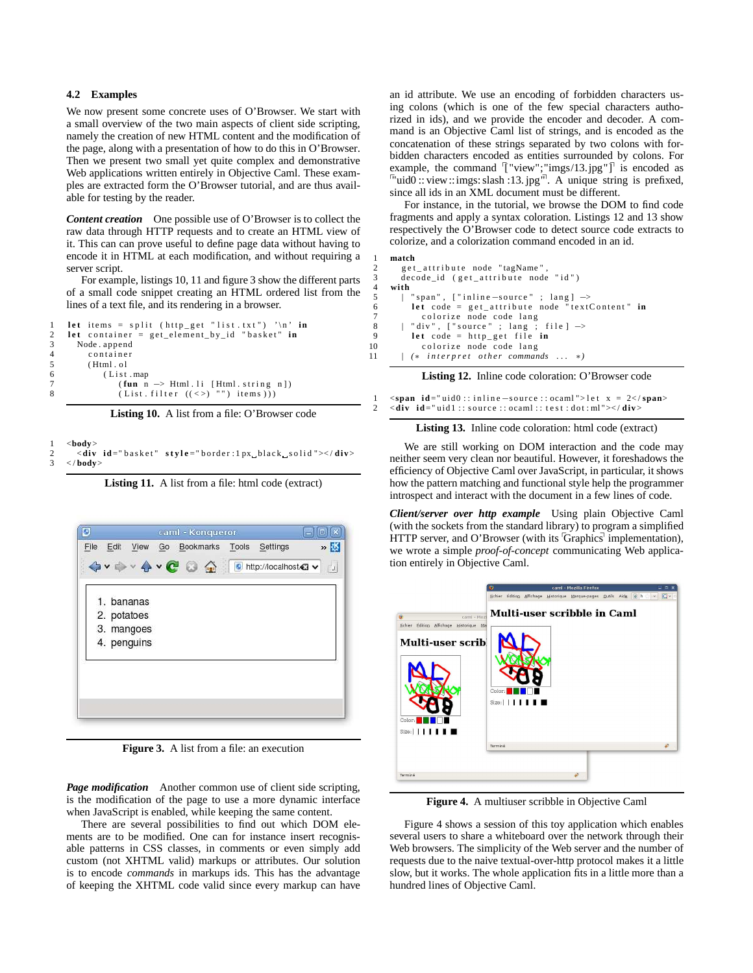## **4.2 Examples**

We now present some concrete uses of O'Browser. We start with a small overview of the two main aspects of client side scripting, namely the creation of new HTML content and the modification of the page, along with a presentation of how to do this in O'Browser. Then we present two small yet quite complex and demonstrative Web applications written entirely in Objective Caml. These examples are extracted form the O'Browser tutorial, and are thus available for testing by the reader.

*Content creation* One possible use of O'Browser is to collect the raw data through HTTP requests and to create an HTML view of it. This can can prove useful to define page data without having to encode it in HTML at each modification, and without requiring a server script.

For example, listings [10,](#page-7-0) [11](#page-7-1) and figure [3](#page-7-2) show the different parts of a small code snippet creating an HTML ordered list from the lines of a text file, and its rendering in a browser.

```
1 let items = split (http_get "list.txt") '\n' in
2 let container = get_element_by_id "basket" in<br>3 Node. append
     Node, append
4 container
5 ( Html . o l
6 (List.map
7 ( fun n −> Html.li [Html.string n])<br>8 ( List.filter ((<>) "") items ) ) )
```
**Listing 10.** A list from a file: O'Browser code

## <span id="page-7-1"></span>1 <**body**>

2 <**div id** = "basket" style = "border:lpx\_black\_solid "></div><br>3 </bodv> 3 < / **body**>

**Listing 11.** A list from a file: html code (extract)



**Figure 3.** A list from a file: an execution

<span id="page-7-2"></span>*Page modification* Another common use of client side scripting, is the modification of the page to use a more dynamic interface when JavaScript is enabled, while keeping the same content.

There are several possibilities to find out which DOM elements are to be modified. One can for instance insert recognisable patterns in CSS classes, in comments or even simply add custom (not XHTML valid) markups or attributes. Our solution is to encode *commands* in markups ids. This has the advantage of keeping the XHTML code valid since every markup can have

an id attribute. We use an encoding of forbidden characters using colons (which is one of the few special characters authorized in ids), and we provide the encoder and decoder. A command is an Objective Caml list of strings, and is encoded as the concatenation of these strings separated by two colons with forbidden characters encoded as entities surrounded by colons. For example, the command  $\lbrack$  "view"; "imgs/13.jpg"]<sup> $\rbrack$ </sup> is encoded as  $\frac{m}{2}$  in the community  $\frac{1}{2}$  ( $\frac{m}{2}$ ,  $\frac{m}{2}$ ,  $\frac{m}{2}$ ,  $\frac{m}{2}$ ,  $\frac{m}{2}$ ,  $\frac{m}{2}$ ,  $\frac{m}{2}$ ,  $\frac{m}{2}$ ,  $\frac{m}{2}$ ,  $\frac{m}{2}$ ,  $\frac{m}{2}$ ,  $\frac{m}{2}$ ,  $\frac{m}{2}$ ,  $\frac{m}{2}$ ,  $\frac{m}{2}$ ,  $\frac{m}{2}$ ,  $\frac{m}{2$ since all ids in an XML document must be different.

For instance, in the tutorial, we browse the DOM to find code fragments and apply a syntax coloration. Listings [12](#page-7-3) and [13](#page-7-4) show respectively the O'Browser code to detect source code extracts to colorize, and a colorization command encoded in an id.

<span id="page-7-3"></span>

|                 | match                                                |
|-----------------|------------------------------------------------------|
| 2               | get attribute node "tagName",                        |
| $\overline{3}$  | decode_id (get_attribute node "id")                  |
| $\overline{4}$  | with                                                 |
| - 5             | "span", $\lceil$ "inline -source" ; lang $\rceil$ -> |
| 6               | let code = $get_attribute$ node "textContent" in     |
| $7\phantom{.0}$ | colorize node code lang                              |
| -8              | "div", ["source" ; lang ; file $\Rightarrow$         |
| -9              | let code = $http.get file in$                        |
| 10              | colorize node code lang                              |
| 11              | $\vert$ (* interpret other commands  *)              |

**Listing 12.** Inline code coloration: O'Browser code

<span id="page-7-4"></span>

| $\epsilon$ <span id="uid0::inline –source::ocaml">let x = 2</span>                                                                                          |
|-------------------------------------------------------------------------------------------------------------------------------------------------------------|
| $\langle \text{div } \text{id} = \text{uid1} : : \text{source} : \text{ocam1} : : \text{test} : \text{dot} : \text{ml} \implies \langle \text{div} \rangle$ |



We are still working on DOM interaction and the code may neither seem very clean nor beautiful. However, it foreshadows the efficiency of Objective Caml over JavaScript, in particular, it shows how the pattern matching and functional style help the programmer introspect and interact with the document in a few lines of code.

*Client/server over http example* Using plain Objective Caml (with the sockets from the standard library) to program a simplified HTTP server, and O'Browser (with its  $G$ raphics implementation), we wrote a simple *proof-of-concept* communicating Web application entirely in Objective Caml.



**Figure 4.** A multiuser scribble in Objective Caml

<span id="page-7-5"></span>Figure [4](#page-7-5) shows a session of this toy application which enables several users to share a whiteboard over the network through their Web browsers. The simplicity of the Web server and the number of requests due to the naive textual-over-http protocol makes it a little slow, but it works. The whole application fits in a little more than a hundred lines of Objective Caml.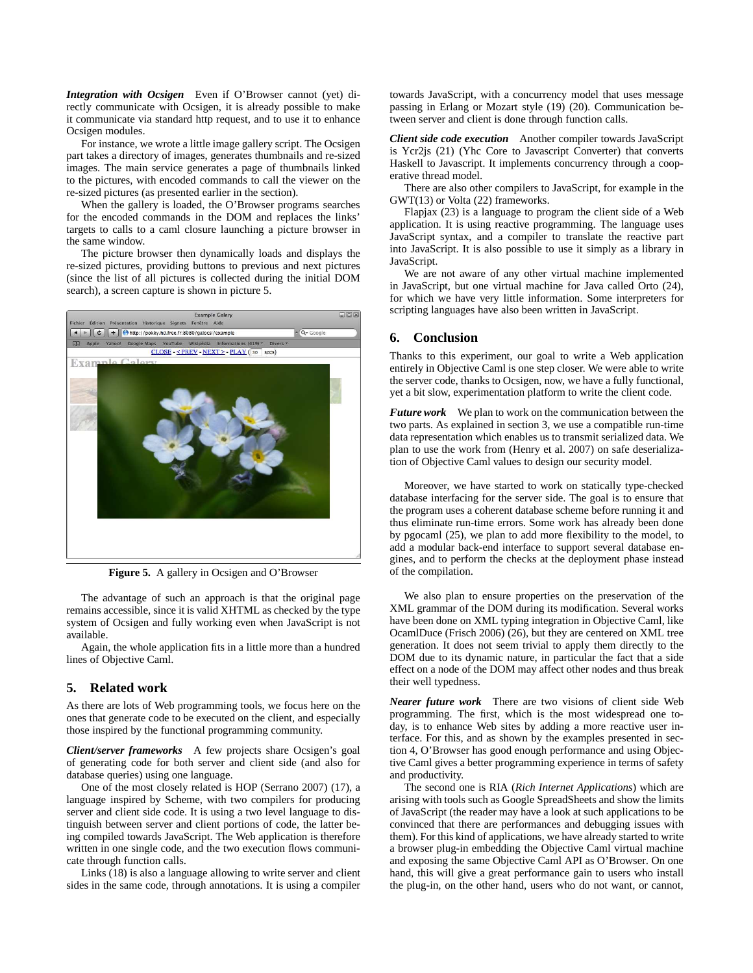*Integration with Ocsigen* Even if O'Browser cannot (yet) directly communicate with Ocsigen, it is already possible to make it communicate via standard http request, and to use it to enhance Ocsigen modules.

For instance, we wrote a little image gallery script. The Ocsigen part takes a directory of images, generates thumbnails and re-sized images. The main service generates a page of thumbnails linked to the pictures, with encoded commands to call the viewer on the re-sized pictures (as presented earlier in the section).

When the gallery is loaded, the O'Browser programs searches for the encoded commands in the DOM and replaces the links' targets to calls to a caml closure launching a picture browser in the same window.

The picture browser then dynamically loads and displays the re-sized pictures, providing buttons to previous and next pictures (since the list of all pictures is collected during the initial DOM search), a screen capture is shown in picture [5.](#page-8-2)



**Figure 5.** A gallery in Ocsigen and O'Browser

<span id="page-8-2"></span>The advantage of such an approach is that the original page remains accessible, since it is valid XHTML as checked by the type system of Ocsigen and fully working even when JavaScript is not available.

Again, the whole application fits in a little more than a hundred lines of Objective Caml.

# <span id="page-8-0"></span>**5. Related work**

As there are lots of Web programming tools, we focus here on the ones that generate code to be executed on the client, and especially those inspired by the functional programming community.

*Client/server frameworks* A few projects share Ocsigen's goal of generating code for both server and client side (and also for database queries) using one language.

One of the most closely related is HOP [\(Serrano 2007](#page-9-7)) [\(17\)](#page-9-33), a language inspired by Scheme, with two compilers for producing server and client side code. It is using a two level language to distinguish between server and client portions of code, the latter being compiled towards JavaScript. The Web application is therefore written in one single code, and the two execution flows communicate through function calls.

Links [\(18\)](#page-9-34) is also a language allowing to write server and client sides in the same code, through annotations. It is using a compiler towards JavaScript, with a concurrency model that uses message passing in Erlang or Mozart style [\(19\)](#page-9-35) [\(20\)](#page-9-36). Communication between server and client is done through function calls.

*Client side code execution* Another compiler towards JavaScript is Ycr2js [\(21\)](#page-9-37) (Yhc Core to Javascript Converter) that converts Haskell to Javascript. It implements concurrency through a cooperative thread model.

There are also other compilers to JavaScript, for example in the GWT[\(13\)](#page-9-28) or Volta [\(22\)](#page-9-38) frameworks.

Flapjax [\(23\)](#page-9-39) is a language to program the client side of a Web application. It is using reactive programming. The language uses JavaScript syntax, and a compiler to translate the reactive part into JavaScript. It is also possible to use it simply as a library in JavaScript.

We are not aware of any other virtual machine implemented in JavaScript, but one virtual machine for Java called Orto [\(24\)](#page-9-40), for which we have very little information. Some interpreters for scripting languages have also been written in JavaScript.

## <span id="page-8-1"></span>**6. Conclusion**

Thanks to this experiment, our goal to write a Web application entirely in Objective Caml is one step closer. We were able to write the server code, thanks to Ocsigen, now, we have a fully functional, yet a bit slow, experimentation platform to write the client code.

*Future work* We plan to work on the communication between the two parts. As explained in section [3,](#page-2-0) we use a compatible run-time data representation which enables us to transmit serialized data. We plan to use the work from [\(Henry et al. 2007](#page-9-41)) on safe deserialization of Objective Caml values to design our security model.

Moreover, we have started to work on statically type-checked database interfacing for the server side. The goal is to ensure that the program uses a coherent database scheme before running it and thus eliminate run-time errors. Some work has already been done by pgocaml [\(25\)](#page-9-42), we plan to add more flexibility to the model, to add a modular back-end interface to support several database engines, and to perform the checks at the deployment phase instead of the compilation.

We also plan to ensure properties on the preservation of the XML grammar of the DOM during its modification. Several works have been done on XML typing integration in Objective Caml, like OcamlDuce [\(Frisch 2006\)](#page-9-43) [\(26\)](#page-9-44), but they are centered on XML tree generation. It does not seem trivial to apply them directly to the DOM due to its dynamic nature, in particular the fact that a side effect on a node of the DOM may affect other nodes and thus break their well typedness.

*Nearer future work* There are two visions of client side Web programming. The first, which is the most widespread one today, is to enhance Web sites by adding a more reactive user interface. For this, and as shown by the examples presented in section [4,](#page-6-0) O'Browser has good enough performance and using Objective Caml gives a better programming experience in terms of safety and productivity.

The second one is RIA (*Rich Internet Applications*) which are arising with tools such as Google SpreadSheets and show the limits of JavaScript (the reader may have a look at such applications to be convinced that there are performances and debugging issues with them). For this kind of applications, we have already started to write a browser plug-in embedding the Objective Caml virtual machine and exposing the same Objective Caml API as O'Browser. On one hand, this will give a great performance gain to users who install the plug-in, on the other hand, users who do not want, or cannot,